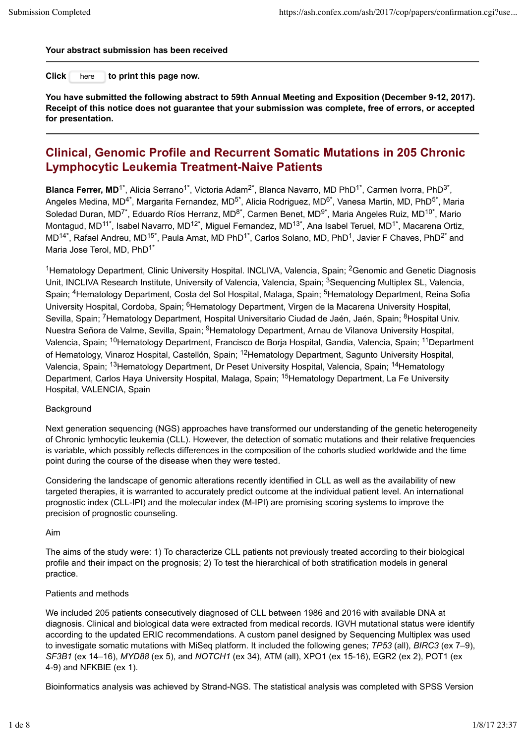#### **Your abstract submission has been received**

**Click** here **to print this page now.**

**You have submitted the following abstract to 59th Annual Meeting and Exposition (December 9-12, 2017). Receipt of this notice does not guarantee that your submission was complete, free of errors, or accepted for presentation.**

# **Clinical, Genomic Profile and Recurrent Somatic Mutations in 205 Chronic Lymphocytic Leukemia Treatment-Naive Patients**

Blanca Ferrer, MD<sup>1\*</sup>, Alicia Serrano<sup>1\*</sup>, Victoria Adam<sup>2\*</sup>, Blanca Navarro, MD PhD<sup>1\*</sup>, Carmen Ivorra, PhD<sup>3\*</sup>, Angeles Medina, MD<sup>4\*</sup>, Margarita Fernandez, MD<sup>5\*</sup>, Alicia Rodriguez, MD<sup>6\*</sup>, Vanesa Martin, MD, PhD<sup>5\*</sup>, Maria Soledad Duran, MD<sup>7\*</sup>, Eduardo Ríos Herranz, MD<sup>8\*</sup>, Carmen Benet, MD<sup>9\*</sup>, Maria Angeles Ruiz, MD<sup>10\*</sup>, Mario Montagud, MD<sup>11\*</sup>, Isabel Navarro, MD<sup>12\*</sup>, Miguel Fernandez, MD<sup>13\*</sup>, Ana Isabel Teruel, MD<sup>1\*</sup>, Macarena Ortiz, MD<sup>14\*</sup>, Rafael Andreu, MD<sup>15\*</sup>, Paula Amat, MD PhD<sup>1\*</sup>, Carlos Solano, MD, PhD<sup>1</sup>, Javier F Chaves, PhD<sup>2\*</sup> and Maria Jose Terol, MD, PhD<sup>1\*</sup>

<sup>1</sup>Hematology Department, Clinic University Hospital. INCLIVA, Valencia, Spain; <sup>2</sup>Genomic and Genetic Diagnosis Unit, INCLIVA Research Institute, University of Valencia, Valencia, Spain; <sup>3</sup>Sequencing Multiplex SL, Valencia, Spain; <sup>4</sup>Hematology Department, Costa del Sol Hospital, Malaga, Spain; <sup>5</sup>Hematology Department, Reina Sofia University Hospital, Cordoba, Spain; <sup>6</sup>Hematology Department, Virgen de la Macarena University Hospital, Sevilla, Spain; <sup>7</sup>Hematology Department, Hospital Universitario Ciudad de Jaén, Jaén, Spain; <sup>8</sup>Hospital Univ. Nuestra Señora de Valme, Sevilla, Spain; <sup>9</sup>Hematology Department, Arnau de Vilanova University Hospital, Valencia, Spain; <sup>10</sup>Hematology Department, Francisco de Borja Hospital, Gandia, Valencia, Spain; <sup>11</sup>Department of Hematology, Vinaroz Hospital, Castellón, Spain; 12Hematology Department, Sagunto University Hospital, Valencia, Spain; 13Hematology Department, Dr Peset University Hospital, Valencia, Spain; 14Hematology Department, Carlos Haya University Hospital, Malaga, Spain; <sup>15</sup>Hematology Department, La Fe University Hospital, VALENCIA, Spain

#### **Background**

Next generation sequencing (NGS) approaches have transformed our understanding of the genetic heterogeneity of Chronic lymhocytic leukemia (CLL). However, the detection of somatic mutations and their relative frequencies is variable, which possibly reflects differences in the composition of the cohorts studied worldwide and the time point during the course of the disease when they were tested.

Considering the landscape of genomic alterations recently identified in CLL as well as the availability of new targeted therapies, it is warranted to accurately predict outcome at the individual patient level. An international prognostic index (CLL-IPI) and the molecular index (M-IPI) are promising scoring systems to improve the precision of prognostic counseling.

#### Aim

The aims of the study were: 1) To characterize CLL patients not previously treated according to their biological profile and their impact on the prognosis; 2) To test the hierarchical of both stratification models in general practice.

#### Patients and methods

We included 205 patients consecutively diagnosed of CLL between 1986 and 2016 with available DNA at diagnosis. Clinical and biological data were extracted from medical records. IGVH mutational status were identify according to the updated ERIC recommendations. A custom panel designed by Sequencing Multiplex was used to investigate somatic mutations with MiSeq platform. It included the following genes; *TP53* (all), *BIRC3* (ex 7–9), *SF3B1* (ex 14–16), *MYD88* (ex 5), and *NOTCH1* (ex 34), ATM (all), XPO1 (ex 15-16), EGR2 (ex 2), POT1 (ex 4-9) and NFKBIE (ex 1).

Bioinformatics analysis was achieved by Strand-NGS. The statistical analysis was completed with SPSS Version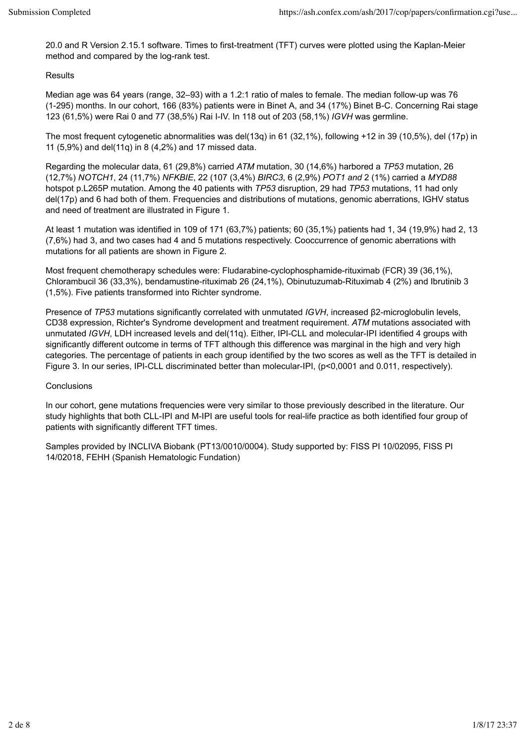20.0 and R Version 2.15.1 software. Times to first-treatment (TFT) curves were plotted using the Kaplan-Meier method and compared by the log-rank test.

#### **Results**

Median age was 64 years (range, 32–93) with a 1.2:1 ratio of males to female. The median follow-up was 76 (1-295) months. In our cohort, 166 (83%) patients were in Binet A, and 34 (17%) Binet B-C. Concerning Rai stage 123 (61,5%) were Rai 0 and 77 (38,5%) Rai I-IV. In 118 out of 203 (58,1%) *IGVH* was germline.

The most frequent cytogenetic abnormalities was del(13q) in 61 (32,1%), following +12 in 39 (10,5%), del (17p) in 11 (5,9%) and del(11q) in 8 (4,2%) and 17 missed data.

Regarding the molecular data, 61 (29,8%) carried *ATM* mutation, 30 (14,6%) harbored a *TP53* mutation, 26 (12,7%) *NOTCH1*, 24 (11,7%) *NFKBIE*, 22 (107 (3,4%) *BIRC3*, 6 (2,9%) *POT1 and* 2 (1%) carried a *MYD88* hotspot p.L265P mutation. Among the 40 patients with *TP53* disruption, 29 had *TP53* mutations, 11 had only del(17p) and 6 had both of them. Frequencies and distributions of mutations, genomic aberrations, IGHV status and need of treatment are illustrated in Figure 1.

At least 1 mutation was identified in 109 of 171 (63,7%) patients; 60 (35,1%) patients had 1, 34 (19,9%) had 2, 13 (7,6%) had 3, and two cases had 4 and 5 mutations respectively. Cooccurrence of genomic aberrations with mutations for all patients are shown in Figure 2.

Most frequent chemotherapy schedules were: Fludarabine-cyclophosphamide-rituximab (FCR) 39 (36,1%), Chlorambucil 36 (33,3%), bendamustine-rituximab 26 (24,1%), Obinutuzumab-Rituximab 4 (2%) and Ibrutinib 3 (1,5%). Five patients transformed into Richter syndrome.

Presence of *TP53* mutations significantly correlated with unmutated *IGVH*, increased β2-microglobulin levels, CD38 expression, Richter's Syndrome development and treatment requirement. *ATM* mutations associated with unmutated *IGVH*, LDH increased levels and del(11q). Either, IPI-CLL and molecular-IPI identified 4 groups with significantly different outcome in terms of TFT although this difference was marginal in the high and very high categories. The percentage of patients in each group identified by the two scores as well as the TFT is detailed in Figure 3. In our series, IPI-CLL discriminated better than molecular-IPI, (p<0,0001 and 0.011, respectively).

#### **Conclusions**

In our cohort, gene mutations frequencies were very similar to those previously described in the literature. Our study highlights that both CLL-IPI and M-IPI are useful tools for real-life practice as both identified four group of patients with significantly different TFT times.

Samples provided by INCLIVA Biobank (PT13/0010/0004). Study supported by: FISS PI 10/02095, FISS PI 14/02018, FEHH (Spanish Hematologic Fundation)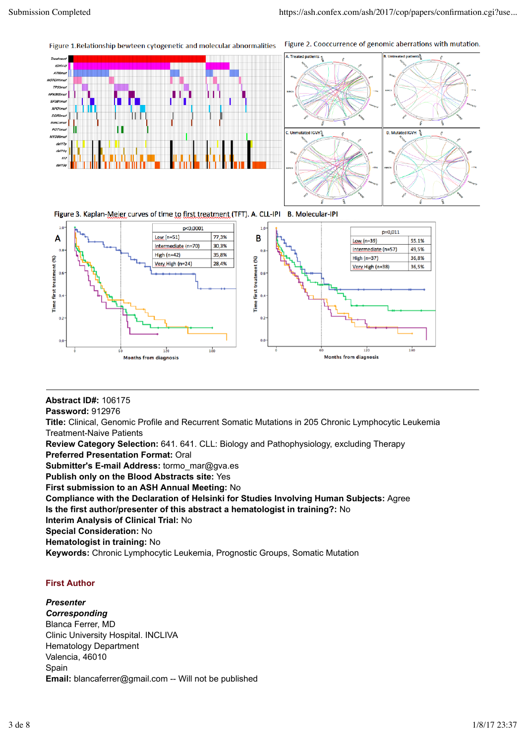

Figure 3. Kaplan-Meier curves of time to first treatment (TFT). A. CLL-IPI B. Molecular-IPI



## **Abstract ID#:** 106175

**Password:** 912976

**Title:** Clinical, Genomic Profile and Recurrent Somatic Mutations in 205 Chronic Lymphocytic Leukemia Treatment-Naive Patients

**Review Category Selection:** 641. 641. CLL: Biology and Pathophysiology, excluding Therapy **Preferred Presentation Format:** Oral

**Submitter's E-mail Address:** tormo\_mar@gva.es

**Publish only on the Blood Abstracts site:** Yes

**First submission to an ASH Annual Meeting:** No

**Compliance with the Declaration of Helsinki for Studies Involving Human Subjects:** Agree

**Is the first author/presenter of this abstract a hematologist in training?:** No

**Interim Analysis of Clinical Trial:** No

**Special Consideration:** No

**Hematologist in training:** No

**Keywords:** Chronic Lymphocytic Leukemia, Prognostic Groups, Somatic Mutation

## **First Author**

*Presenter Corresponding* Blanca Ferrer, MD Clinic University Hospital. INCLIVA Hematology Department Valencia, 46010 Spain **Email:** blancaferrer@gmail.com -- Will not be published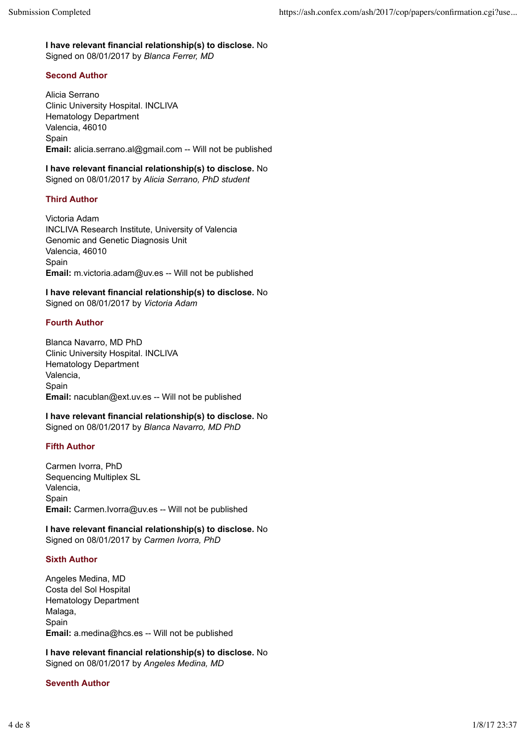**I have relevant financial relationship(s) to disclose.** No Signed on 08/01/2017 by *Blanca Ferrer, MD*

#### **Second Author**

Alicia Serrano Clinic University Hospital. INCLIVA Hematology Department Valencia, 46010 Spain **Email:** alicia.serrano.al@gmail.com -- Will not be published

**I have relevant financial relationship(s) to disclose.** No Signed on 08/01/2017 by *Alicia Serrano, PhD student*

#### **Third Author**

Victoria Adam INCLIVA Research Institute, University of Valencia Genomic and Genetic Diagnosis Unit Valencia, 46010 Spain **Email:** m.victoria.adam@uv.es -- Will not be published

**I have relevant financial relationship(s) to disclose.** No Signed on 08/01/2017 by *Victoria Adam*

#### **Fourth Author**

Blanca Navarro, MD PhD Clinic University Hospital. INCLIVA Hematology Department Valencia, Spain **Email:** nacublan@ext.uv.es -- Will not be published

**I have relevant financial relationship(s) to disclose.** No Signed on 08/01/2017 by *Blanca Navarro, MD PhD*

#### **Fifth Author**

Carmen Ivorra, PhD Sequencing Multiplex SL Valencia, Spain **Email:** Carmen.Ivorra@uv.es -- Will not be published

**I have relevant financial relationship(s) to disclose.** No Signed on 08/01/2017 by *Carmen Ivorra, PhD*

#### **Sixth Author**

Angeles Medina, MD Costa del Sol Hospital Hematology Department Malaga, Spain **Email:** a.medina@hcs.es -- Will not be published

**I have relevant financial relationship(s) to disclose.** No Signed on 08/01/2017 by *Angeles Medina, MD*

#### **Seventh Author**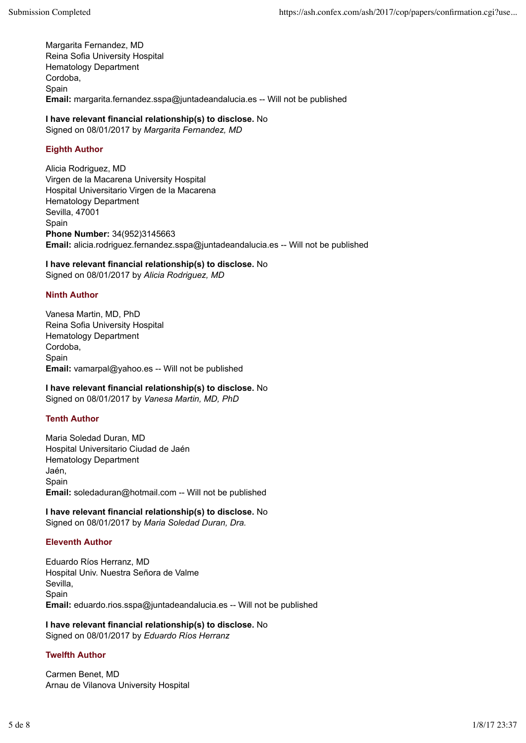Margarita Fernandez, MD Reina Sofia University Hospital Hematology Department Cordoba, Spain **Email:** margarita.fernandez.sspa@juntadeandalucia.es -- Will not be published

**I have relevant financial relationship(s) to disclose.** No

Signed on 08/01/2017 by *Margarita Fernandez, MD*

#### **Eighth Author**

Alicia Rodriguez, MD Virgen de la Macarena University Hospital Hospital Universitario Virgen de la Macarena Hematology Department Sevilla, 47001 Spain **Phone Number:** 34(952)3145663 **Email:** alicia.rodriguez.fernandez.sspa@juntadeandalucia.es -- Will not be published

**I have relevant financial relationship(s) to disclose.** No Signed on 08/01/2017 by *Alicia Rodriguez, MD*

#### **Ninth Author**

Vanesa Martin, MD, PhD Reina Sofia University Hospital Hematology Department Cordoba, Spain **Email:** vamarpal@yahoo.es -- Will not be published

**I have relevant financial relationship(s) to disclose.** No Signed on 08/01/2017 by *Vanesa Martin, MD, PhD*

#### **Tenth Author**

Maria Soledad Duran, MD Hospital Universitario Ciudad de Jaén Hematology Department Jaén, Spain **Email:** soledaduran@hotmail.com -- Will not be published

**I have relevant financial relationship(s) to disclose.** No Signed on 08/01/2017 by *Maria Soledad Duran, Dra.*

#### **Eleventh Author**

Eduardo Ríos Herranz, MD Hospital Univ. Nuestra Señora de Valme Sevilla, Spain **Email:** eduardo.rios.sspa@juntadeandalucia.es -- Will not be published

**I have relevant financial relationship(s) to disclose.** No Signed on 08/01/2017 by *Eduardo Ríos Herranz*

## **Twelfth Author**

Carmen Benet, MD Arnau de Vilanova University Hospital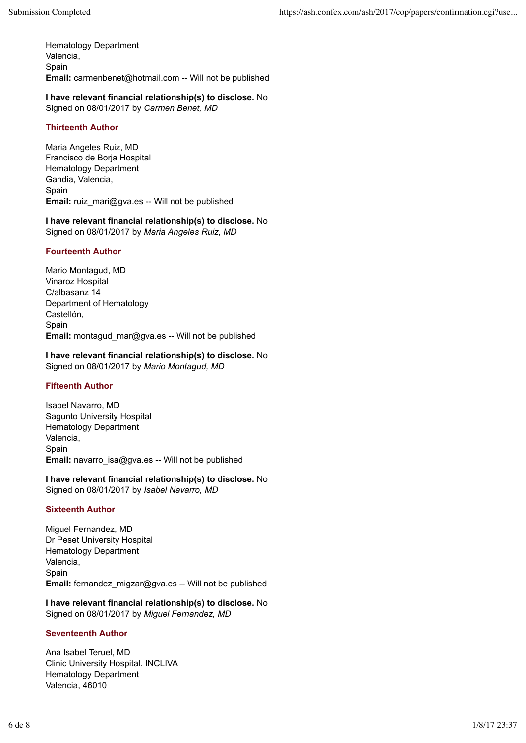Hematology Department Valencia, Spain **Email:** carmenbenet@hotmail.com -- Will not be published

#### **I have relevant financial relationship(s) to disclose.** No Signed on 08/01/2017 by *Carmen Benet, MD*

## **Thirteenth Author**

Maria Angeles Ruiz, MD Francisco de Borja Hospital Hematology Department Gandia, Valencia, Spain **Email:** ruiz\_mari@gva.es -- Will not be published

#### **I have relevant financial relationship(s) to disclose.** No Signed on 08/01/2017 by *Maria Angeles Ruiz, MD*

## **Fourteenth Author**

Mario Montagud, MD Vinaroz Hospital C/albasanz 14 Department of Hematology Castellón, Spain **Email:** montagud\_mar@gva.es -- Will not be published

#### **I have relevant financial relationship(s) to disclose.** No Signed on 08/01/2017 by *Mario Montagud, MD*

#### **Fifteenth Author**

Isabel Navarro, MD Sagunto University Hospital Hematology Department Valencia, Spain **Email:** navarro isa@gva.es -- Will not be published

**I have relevant financial relationship(s) to disclose.** No Signed on 08/01/2017 by *Isabel Navarro, MD*

## **Sixteenth Author**

Miguel Fernandez, MD Dr Peset University Hospital Hematology Department Valencia, **Spain Email:** fernandez\_migzar@gva.es -- Will not be published

**I have relevant financial relationship(s) to disclose.** No Signed on 08/01/2017 by *Miguel Fernandez, MD*

## **Seventeenth Author**

Ana Isabel Teruel, MD Clinic University Hospital. INCLIVA Hematology Department Valencia, 46010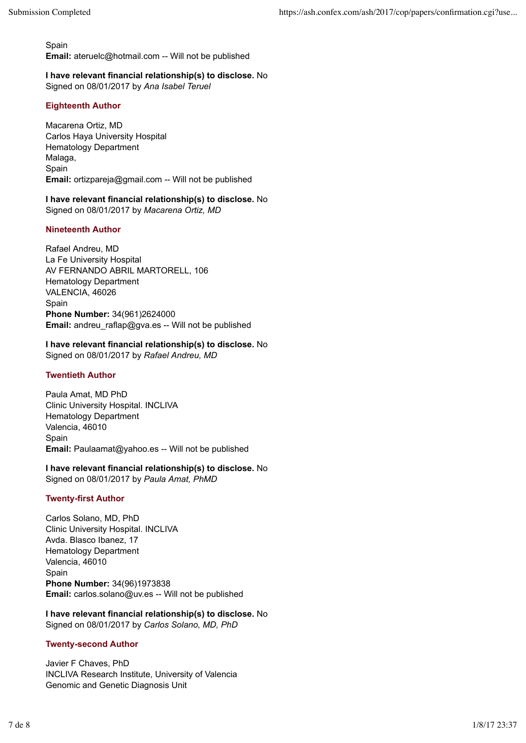Spain **Email:** ateruelc@hotmail.com -- Will not be published

#### **I have relevant financial relationship(s) to disclose.** No Signed on 08/01/2017 by *Ana Isabel Teruel*

#### **Eighteenth Author**

Macarena Ortiz, MD Carlos Haya University Hospital Hematology Department Malaga, Spain **Email:** ortizpareja@gmail.com -- Will not be published

#### **I have relevant financial relationship(s) to disclose.** No Signed on 08/01/2017 by *Macarena Ortiz, MD*

#### **Nineteenth Author**

Rafael Andreu, MD La Fe University Hospital AV FERNANDO ABRIL MARTORELL, 106 Hematology Department VALENCIA, 46026 Spain **Phone Number:** 34(961)2624000 Email: andreu raflap@gva.es -- Will not be published

#### **I have relevant financial relationship(s) to disclose.** No

Signed on 08/01/2017 by *Rafael Andreu, MD*

#### **Twentieth Author**

Paula Amat, MD PhD Clinic University Hospital. INCLIVA Hematology Department Valencia, 46010 Spain **Email:** Paulaamat@yahoo.es -- Will not be published

# **I have relevant financial relationship(s) to disclose.** No

Signed on 08/01/2017 by *Paula Amat, PhMD*

#### **Twenty-first Author**

Carlos Solano, MD, PhD Clinic University Hospital. INCLIVA Avda. Blasco Ibanez, 17 Hematology Department Valencia, 46010 Spain **Phone Number:** 34(96)1973838 **Email:** carlos.solano@uv.es -- Will not be published

**I have relevant financial relationship(s) to disclose.** No Signed on 08/01/2017 by *Carlos Solano, MD, PhD*

#### **Twenty-second Author**

Javier F Chaves, PhD INCLIVA Research Institute, University of Valencia Genomic and Genetic Diagnosis Unit